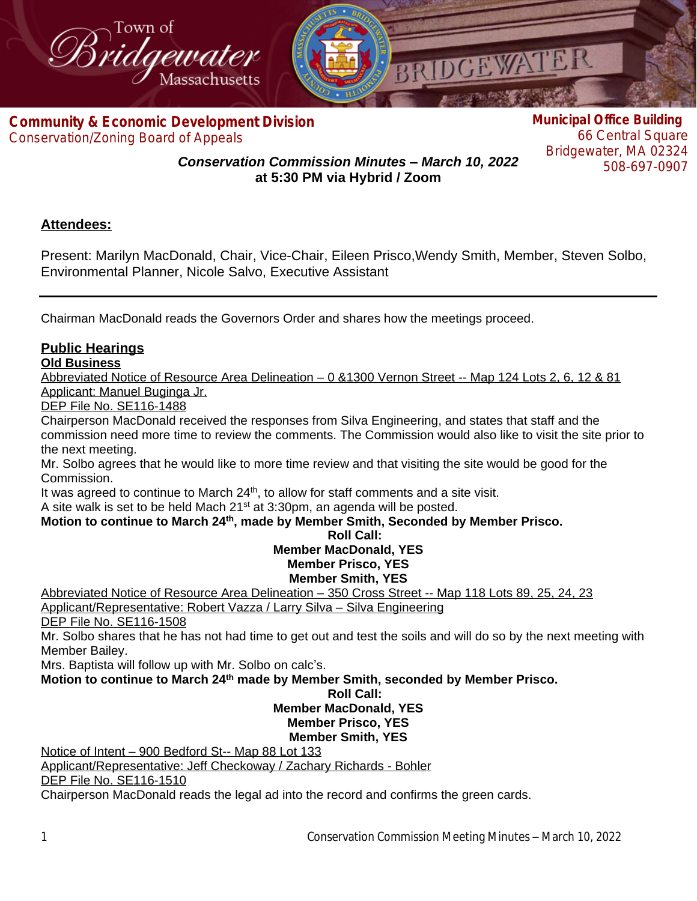

**Com[munity & Economic Development Division](http://www.bridgewaterma.org/)** Conservation/Zoning Board of Appeals

**Municipal Office Building** 66 Central Square Bridgewater, MA 02324 508-697-0907

*Conservation Commission Minutes – March 10, 2022* **at 5:30 PM via Hybrid / Zoom**

# **Attendees:**

Present: Marilyn MacDonald, Chair, Vice-Chair, Eileen Prisco,Wendy Smith, Member, Steven Solbo, Environmental Planner, Nicole Salvo, Executive Assistant

Chairman MacDonald reads the Governors Order and shares how the meetings proceed.

## **Public Hearings**

#### **Old Business**

Abbreviated Notice of Resource Area Delineation – 0 &1300 Vernon Street -- Map 124 Lots 2, 6, 12 & 81 Applicant: Manuel Buginga Jr.

DEP File No. SE116-1488

Chairperson MacDonald received the responses from Silva Engineering, and states that staff and the commission need more time to review the comments. The Commission would also like to visit the site prior to the next meeting.

Mr. Solbo agrees that he would like to more time review and that visiting the site would be good for the Commission.

It was agreed to continue to March  $24<sup>th</sup>$ , to allow for staff comments and a site visit.

A site walk is set to be held Mach 21st at 3:30pm, an agenda will be posted.

#### **Motion to continue to March 24th, made by Member Smith, Seconded by Member Prisco.**

## **Roll Call: Member MacDonald, YES Member Prisco, YES**

### **Member Smith, YES**

Abbreviated Notice of Resource Area Delineation – 350 Cross Street -- Map 118 Lots 89, 25, 24, 23

Applicant/Representative: Robert Vazza / Larry Silva – Silva Engineering

DEP File No. SE116-1508

Mr. Solbo shares that he has not had time to get out and test the soils and will do so by the next meeting with Member Bailey.

Mrs. Baptista will follow up with Mr. Solbo on calc's.

**Motion to continue to March 24th made by Member Smith, seconded by Member Prisco.**

#### **Roll Call: Member MacDonald, YES Member Prisco, YES Member Smith, YES**

Notice of Intent – 900 Bedford St-- Map 88 Lot 133 Applicant/Representative: Jeff Checkoway / Zachary Richards - Bohler DEP File No. SE116-1510 Chairperson MacDonald reads the legal ad into the record and confirms the green cards.